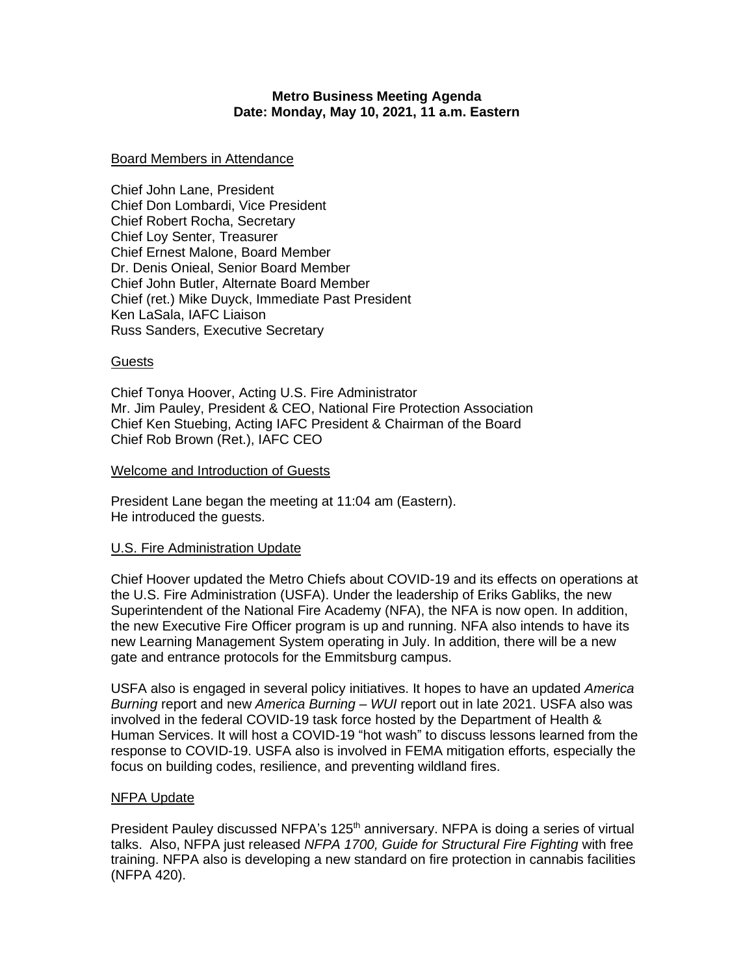### **Metro Business Meeting Agenda Date: Monday, May 10, 2021, 11 a.m. Eastern**

#### Board Members in Attendance

Chief John Lane, President Chief Don Lombardi, Vice President Chief Robert Rocha, Secretary Chief Loy Senter, Treasurer Chief Ernest Malone, Board Member Dr. Denis Onieal, Senior Board Member Chief John Butler, Alternate Board Member Chief (ret.) Mike Duyck, Immediate Past President Ken LaSala, IAFC Liaison Russ Sanders, Executive Secretary

### **Guests**

Chief Tonya Hoover, Acting U.S. Fire Administrator Mr. Jim Pauley, President & CEO, National Fire Protection Association Chief Ken Stuebing, Acting IAFC President & Chairman of the Board Chief Rob Brown (Ret.), IAFC CEO

### Welcome and Introduction of Guests

President Lane began the meeting at 11:04 am (Eastern). He introduced the guests.

### U.S. Fire Administration Update

Chief Hoover updated the Metro Chiefs about COVID-19 and its effects on operations at the U.S. Fire Administration (USFA). Under the leadership of Eriks Gabliks, the new Superintendent of the National Fire Academy (NFA), the NFA is now open. In addition, the new Executive Fire Officer program is up and running. NFA also intends to have its new Learning Management System operating in July. In addition, there will be a new gate and entrance protocols for the Emmitsburg campus.

USFA also is engaged in several policy initiatives. It hopes to have an updated *America Burning* report and new *America Burning – WUI* report out in late 2021. USFA also was involved in the federal COVID-19 task force hosted by the Department of Health & Human Services. It will host a COVID-19 "hot wash" to discuss lessons learned from the response to COVID-19. USFA also is involved in FEMA mitigation efforts, especially the focus on building codes, resilience, and preventing wildland fires.

### NFPA Update

President Pauley discussed NFPA's 125<sup>th</sup> anniversary. NFPA is doing a series of virtual talks. Also, NFPA just released *NFPA 1700, Guide for Structural Fire Fighting* with free training. NFPA also is developing a new standard on fire protection in cannabis facilities (NFPA 420).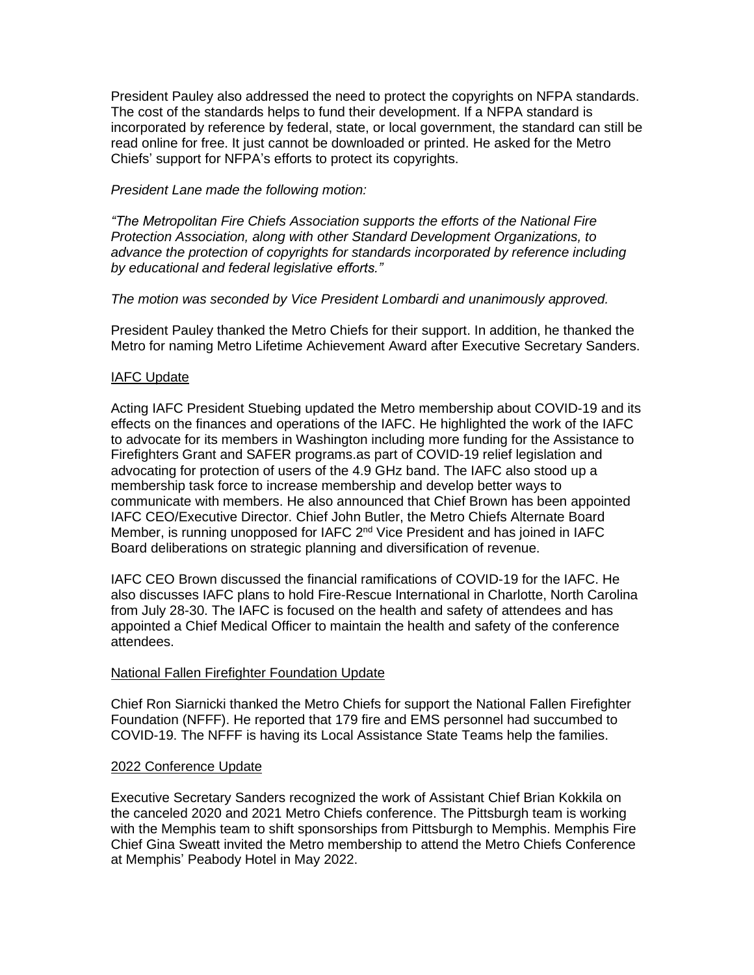President Pauley also addressed the need to protect the copyrights on NFPA standards. The cost of the standards helps to fund their development. If a NFPA standard is incorporated by reference by federal, state, or local government, the standard can still be read online for free. It just cannot be downloaded or printed. He asked for the Metro Chiefs' support for NFPA's efforts to protect its copyrights.

### *President Lane made the following motion:*

*"The Metropolitan Fire Chiefs Association supports the efforts of the National Fire Protection Association, along with other Standard Development Organizations, to advance the protection of copyrights for standards incorporated by reference including by educational and federal legislative efforts."*

### *The motion was seconded by Vice President Lombardi and unanimously approved.*

President Pauley thanked the Metro Chiefs for their support. In addition, he thanked the Metro for naming Metro Lifetime Achievement Award after Executive Secretary Sanders.

### IAFC Update

Acting IAFC President Stuebing updated the Metro membership about COVID-19 and its effects on the finances and operations of the IAFC. He highlighted the work of the IAFC to advocate for its members in Washington including more funding for the Assistance to Firefighters Grant and SAFER programs.as part of COVID-19 relief legislation and advocating for protection of users of the 4.9 GHz band. The IAFC also stood up a membership task force to increase membership and develop better ways to communicate with members. He also announced that Chief Brown has been appointed IAFC CEO/Executive Director. Chief John Butler, the Metro Chiefs Alternate Board Member, is running unopposed for IAFC 2<sup>nd</sup> Vice President and has joined in IAFC Board deliberations on strategic planning and diversification of revenue.

IAFC CEO Brown discussed the financial ramifications of COVID-19 for the IAFC. He also discusses IAFC plans to hold Fire-Rescue International in Charlotte, North Carolina from July 28-30. The IAFC is focused on the health and safety of attendees and has appointed a Chief Medical Officer to maintain the health and safety of the conference attendees.

## National Fallen Firefighter Foundation Update

Chief Ron Siarnicki thanked the Metro Chiefs for support the National Fallen Firefighter Foundation (NFFF). He reported that 179 fire and EMS personnel had succumbed to COVID-19. The NFFF is having its Local Assistance State Teams help the families.

### 2022 Conference Update

Executive Secretary Sanders recognized the work of Assistant Chief Brian Kokkila on the canceled 2020 and 2021 Metro Chiefs conference. The Pittsburgh team is working with the Memphis team to shift sponsorships from Pittsburgh to Memphis. Memphis Fire Chief Gina Sweatt invited the Metro membership to attend the Metro Chiefs Conference at Memphis' Peabody Hotel in May 2022.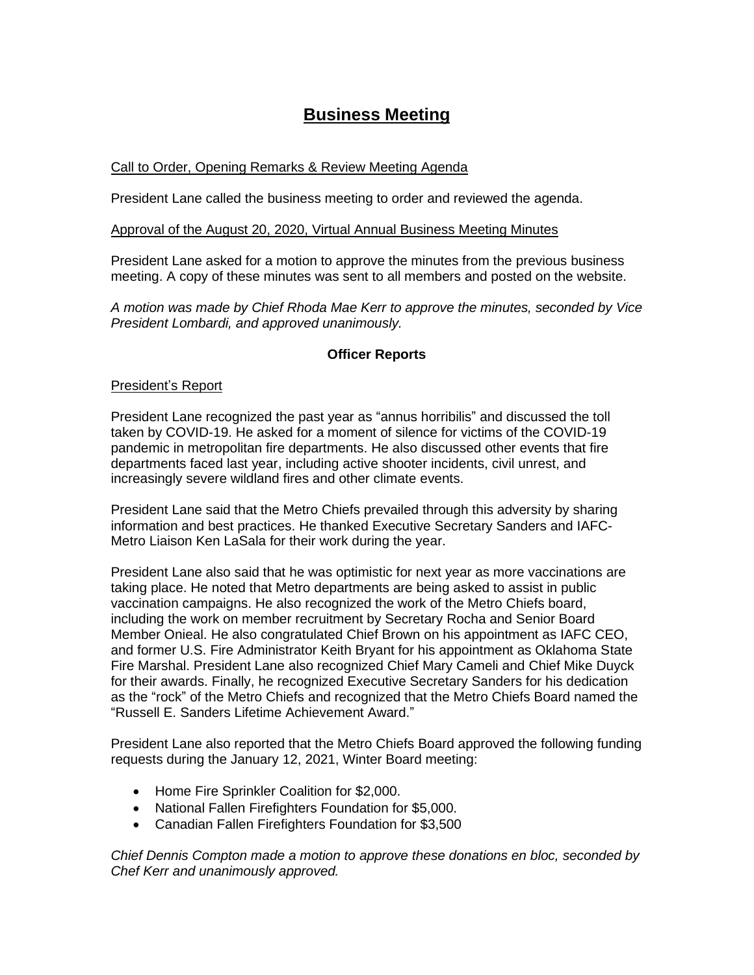# **Business Meeting**

# Call to Order, Opening Remarks & Review Meeting Agenda

President Lane called the business meeting to order and reviewed the agenda.

### Approval of the August 20, 2020, Virtual Annual Business Meeting Minutes

President Lane asked for a motion to approve the minutes from the previous business meeting. A copy of these minutes was sent to all members and posted on the website.

*A motion was made by Chief Rhoda Mae Kerr to approve the minutes, seconded by Vice President Lombardi, and approved unanimously.*

## **Officer Reports**

### President's Report

President Lane recognized the past year as "annus horribilis" and discussed the toll taken by COVID-19. He asked for a moment of silence for victims of the COVID-19 pandemic in metropolitan fire departments. He also discussed other events that fire departments faced last year, including active shooter incidents, civil unrest, and increasingly severe wildland fires and other climate events.

President Lane said that the Metro Chiefs prevailed through this adversity by sharing information and best practices. He thanked Executive Secretary Sanders and IAFC-Metro Liaison Ken LaSala for their work during the year.

President Lane also said that he was optimistic for next year as more vaccinations are taking place. He noted that Metro departments are being asked to assist in public vaccination campaigns. He also recognized the work of the Metro Chiefs board, including the work on member recruitment by Secretary Rocha and Senior Board Member Onieal. He also congratulated Chief Brown on his appointment as IAFC CEO, and former U.S. Fire Administrator Keith Bryant for his appointment as Oklahoma State Fire Marshal. President Lane also recognized Chief Mary Cameli and Chief Mike Duyck for their awards. Finally, he recognized Executive Secretary Sanders for his dedication as the "rock" of the Metro Chiefs and recognized that the Metro Chiefs Board named the "Russell E. Sanders Lifetime Achievement Award."

President Lane also reported that the Metro Chiefs Board approved the following funding requests during the January 12, 2021, Winter Board meeting:

- Home Fire Sprinkler Coalition for \$2,000.
- National Fallen Firefighters Foundation for \$5,000.
- Canadian Fallen Firefighters Foundation for \$3,500

*Chief Dennis Compton made a motion to approve these donations en bloc, seconded by Chef Kerr and unanimously approved.*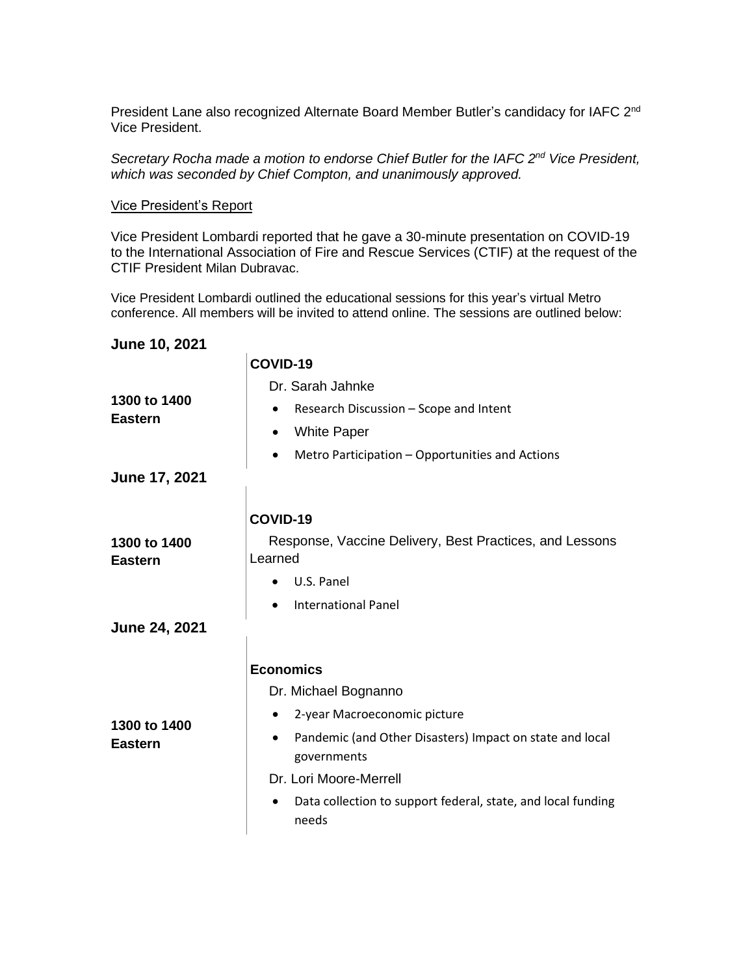President Lane also recognized Alternate Board Member Butler's candidacy for IAFC 2<sup>nd</sup> Vice President.

*Secretary Rocha made a motion to endorse Chief Butler for the IAFC 2 nd Vice President, which was seconded by Chief Compton, and unanimously approved.*

#### Vice President's Report

Vice President Lombardi reported that he gave a 30-minute presentation on COVID-19 to the International Association of Fire and Rescue Services (CTIF) at the request of the CTIF President Milan Dubravac.

Vice President Lombardi outlined the educational sessions for this year's virtual Metro conference. All members will be invited to attend online. The sessions are outlined below:

### **June 10, 2021**

 $\mathbf{r}$ 

|                                | COVID-19                                                                   |
|--------------------------------|----------------------------------------------------------------------------|
| 1300 to 1400<br><b>Eastern</b> | Dr. Sarah Jahnke                                                           |
|                                | Research Discussion - Scope and Intent<br>$\bullet$                        |
|                                | <b>White Paper</b><br>$\bullet$                                            |
|                                | Metro Participation - Opportunities and Actions<br>$\bullet$               |
| June 17, 2021                  |                                                                            |
|                                | COVID-19                                                                   |
| 1300 to 1400<br><b>Eastern</b> | Response, Vaccine Delivery, Best Practices, and Lessons<br>Learned         |
|                                | U.S. Panel                                                                 |
|                                | <b>International Panel</b>                                                 |
| <b>June 24, 2021</b>           |                                                                            |
|                                | <b>Economics</b>                                                           |
| 1300 to 1400<br><b>Eastern</b> | Dr. Michael Bognanno                                                       |
|                                | 2-year Macroeconomic picture                                               |
|                                | Pandemic (and Other Disasters) Impact on state and local<br>governments    |
|                                | Dr. Lori Moore-Merrell                                                     |
|                                | Data collection to support federal, state, and local funding<br>٠<br>needs |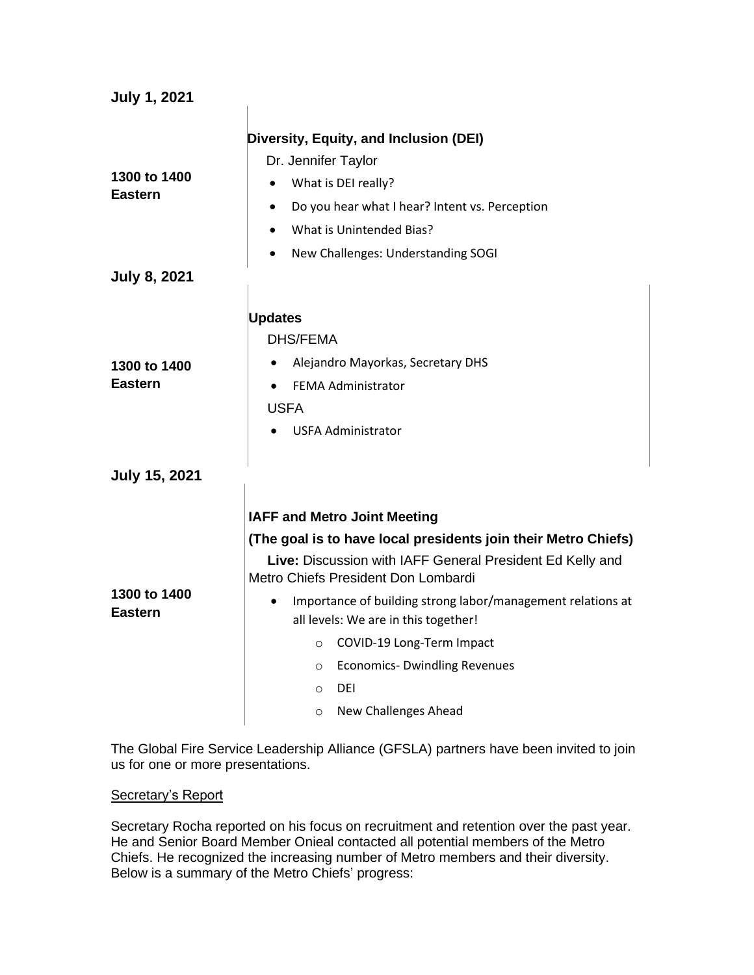| Diversity, Equity, and Inclusion (DEI)<br>Dr. Jennifer Taylor<br>What is DEI really?<br>Do you hear what I hear? Intent vs. Perception<br>What is Unintended Bias?<br>New Challenges: Understanding SOGI                                                                                                                                                                                                                         |
|----------------------------------------------------------------------------------------------------------------------------------------------------------------------------------------------------------------------------------------------------------------------------------------------------------------------------------------------------------------------------------------------------------------------------------|
|                                                                                                                                                                                                                                                                                                                                                                                                                                  |
| <b>Updates</b><br><b>DHS/FEMA</b><br>Alejandro Mayorkas, Secretary DHS                                                                                                                                                                                                                                                                                                                                                           |
| <b>FEMA Administrator</b><br><b>USFA</b><br><b>USFA Administrator</b>                                                                                                                                                                                                                                                                                                                                                            |
|                                                                                                                                                                                                                                                                                                                                                                                                                                  |
| <b>IAFF and Metro Joint Meeting</b>                                                                                                                                                                                                                                                                                                                                                                                              |
| (The goal is to have local presidents join their Metro Chiefs)<br>Live: Discussion with IAFF General President Ed Kelly and<br>Metro Chiefs President Don Lombardi<br>Importance of building strong labor/management relations at<br>all levels: We are in this together!<br>COVID-19 Long-Term Impact<br>$\circ$<br><b>Economics- Dwindling Revenues</b><br>$\circ$<br><b>DEI</b><br>$\circ$<br>New Challenges Ahead<br>$\circ$ |
|                                                                                                                                                                                                                                                                                                                                                                                                                                  |

The Global Fire Service Leadership Alliance (GFSLA) partners have been invited to join us for one or more presentations.

## Secretary's Report

Secretary Rocha reported on his focus on recruitment and retention over the past year. He and Senior Board Member Onieal contacted all potential members of the Metro Chiefs. He recognized the increasing number of Metro members and their diversity. Below is a summary of the Metro Chiefs' progress: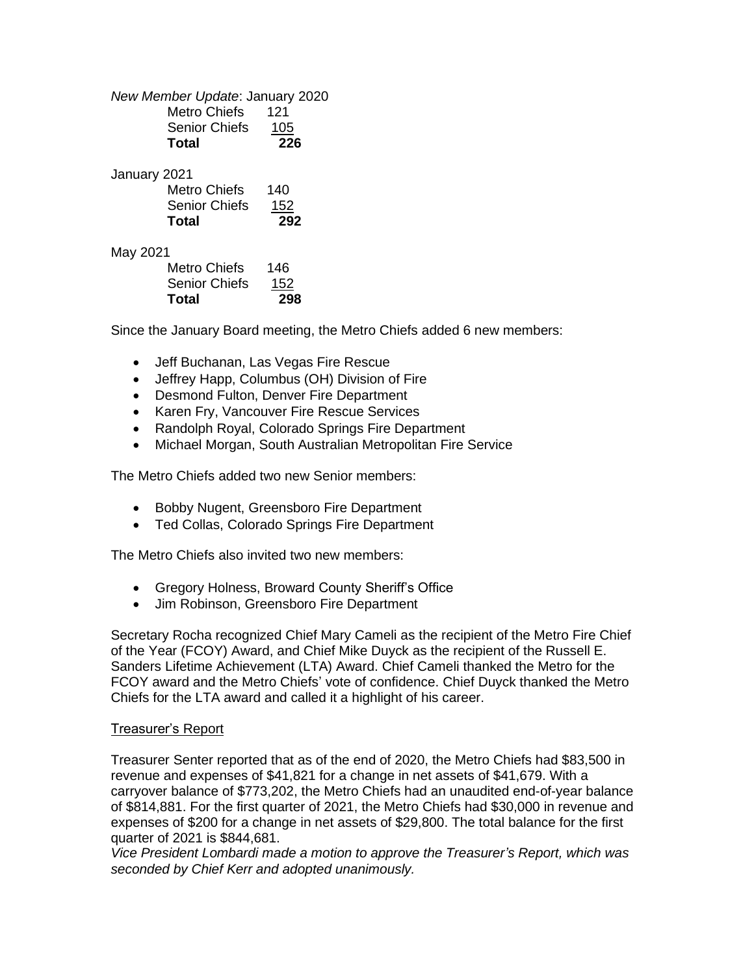*New Member Update*: January 2020 Metro Chiefs 121 Senior Chiefs 105 **Total 226** January 2021 Metro Chiefs 140 Senior Chiefs 152 **Total 292** May 2021 Metro Chiefs 146

| Total                | 298 |
|----------------------|-----|
| <b>Senior Chiefs</b> | 152 |
| Metro Chiefs         | 146 |

Since the January Board meeting, the Metro Chiefs added 6 new members:

- Jeff Buchanan, Las Vegas Fire Rescue
- Jeffrey Happ, Columbus (OH) Division of Fire
- Desmond Fulton, Denver Fire Department
- Karen Fry, Vancouver Fire Rescue Services
- Randolph Royal, Colorado Springs Fire Department
- Michael Morgan, South Australian Metropolitan Fire Service

The Metro Chiefs added two new Senior members:

- Bobby Nugent, Greensboro Fire Department
- Ted Collas, Colorado Springs Fire Department

The Metro Chiefs also invited two new members:

- Gregory Holness, Broward County Sheriff's Office
- Jim Robinson, Greensboro Fire Department

Secretary Rocha recognized Chief Mary Cameli as the recipient of the Metro Fire Chief of the Year (FCOY) Award, and Chief Mike Duyck as the recipient of the Russell E. Sanders Lifetime Achievement (LTA) Award. Chief Cameli thanked the Metro for the FCOY award and the Metro Chiefs' vote of confidence. Chief Duyck thanked the Metro Chiefs for the LTA award and called it a highlight of his career.

### Treasurer's Report

Treasurer Senter reported that as of the end of 2020, the Metro Chiefs had \$83,500 in revenue and expenses of \$41,821 for a change in net assets of \$41,679. With a carryover balance of \$773,202, the Metro Chiefs had an unaudited end-of-year balance of \$814,881. For the first quarter of 2021, the Metro Chiefs had \$30,000 in revenue and expenses of \$200 for a change in net assets of \$29,800. The total balance for the first quarter of 2021 is \$844,681.

*Vice President Lombardi made a motion to approve the Treasurer's Report, which was seconded by Chief Kerr and adopted unanimously.*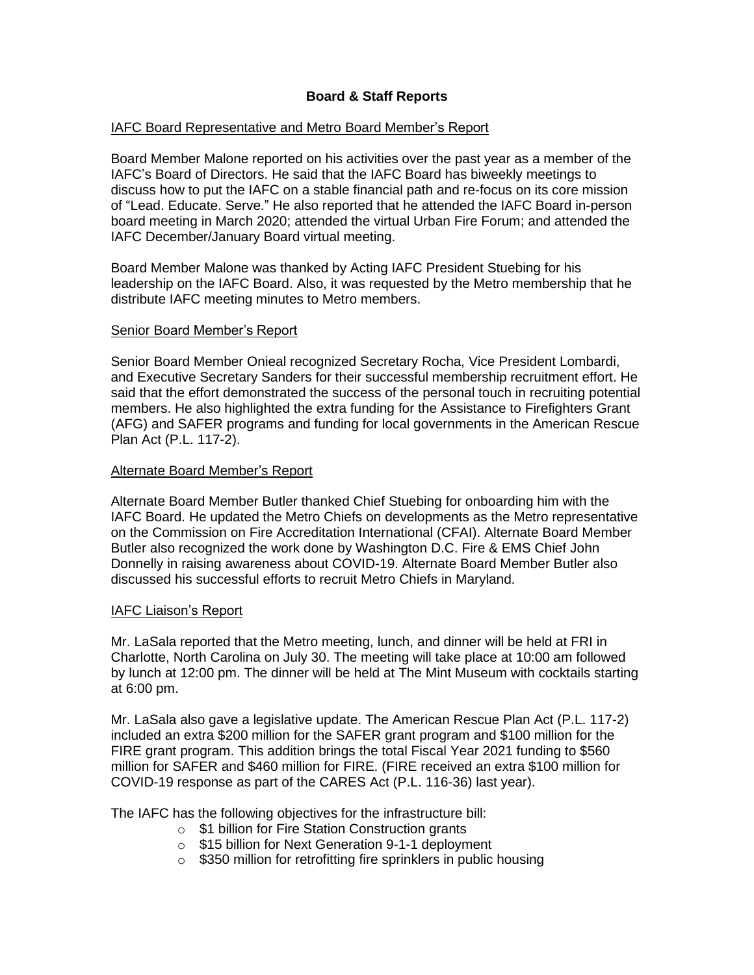# **Board & Staff Reports**

### IAFC Board Representative and Metro Board Member's Report

Board Member Malone reported on his activities over the past year as a member of the IAFC's Board of Directors. He said that the IAFC Board has biweekly meetings to discuss how to put the IAFC on a stable financial path and re-focus on its core mission of "Lead. Educate. Serve." He also reported that he attended the IAFC Board in-person board meeting in March 2020; attended the virtual Urban Fire Forum; and attended the IAFC December/January Board virtual meeting.

Board Member Malone was thanked by Acting IAFC President Stuebing for his leadership on the IAFC Board. Also, it was requested by the Metro membership that he distribute IAFC meeting minutes to Metro members.

### Senior Board Member's Report

Senior Board Member Onieal recognized Secretary Rocha, Vice President Lombardi, and Executive Secretary Sanders for their successful membership recruitment effort. He said that the effort demonstrated the success of the personal touch in recruiting potential members. He also highlighted the extra funding for the Assistance to Firefighters Grant (AFG) and SAFER programs and funding for local governments in the American Rescue Plan Act (P.L. 117-2).

### Alternate Board Member's Report

Alternate Board Member Butler thanked Chief Stuebing for onboarding him with the IAFC Board. He updated the Metro Chiefs on developments as the Metro representative on the Commission on Fire Accreditation International (CFAI). Alternate Board Member Butler also recognized the work done by Washington D.C. Fire & EMS Chief John Donnelly in raising awareness about COVID-19. Alternate Board Member Butler also discussed his successful efforts to recruit Metro Chiefs in Maryland.

### IAFC Liaison's Report

Mr. LaSala reported that the Metro meeting, lunch, and dinner will be held at FRI in Charlotte, North Carolina on July 30. The meeting will take place at 10:00 am followed by lunch at 12:00 pm. The dinner will be held at The Mint Museum with cocktails starting at 6:00 pm.

Mr. LaSala also gave a legislative update. The American Rescue Plan Act (P.L. 117-2) included an extra \$200 million for the SAFER grant program and \$100 million for the FIRE grant program. This addition brings the total Fiscal Year 2021 funding to \$560 million for SAFER and \$460 million for FIRE. (FIRE received an extra \$100 million for COVID-19 response as part of the CARES Act (P.L. 116-36) last year).

The IAFC has the following objectives for the infrastructure bill:

- o \$1 billion for Fire Station Construction grants
- o \$15 billion for Next Generation 9-1-1 deployment
- o \$350 million for retrofitting fire sprinklers in public housing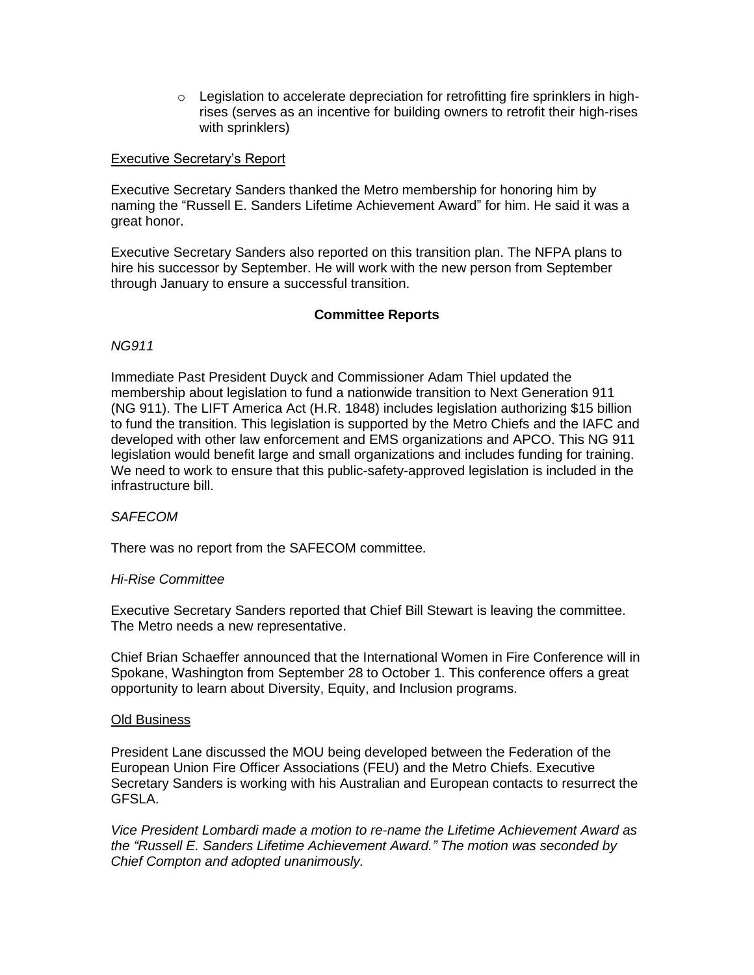$\circ$  Legislation to accelerate depreciation for retrofitting fire sprinklers in highrises (serves as an incentive for building owners to retrofit their high-rises with sprinklers)

### Executive Secretary's Report

Executive Secretary Sanders thanked the Metro membership for honoring him by naming the "Russell E. Sanders Lifetime Achievement Award" for him. He said it was a great honor.

Executive Secretary Sanders also reported on this transition plan. The NFPA plans to hire his successor by September. He will work with the new person from September through January to ensure a successful transition.

## **Committee Reports**

### *NG911*

Immediate Past President Duyck and Commissioner Adam Thiel updated the membership about legislation to fund a nationwide transition to Next Generation 911 (NG 911). The LIFT America Act (H.R. 1848) includes legislation authorizing \$15 billion to fund the transition. This legislation is supported by the Metro Chiefs and the IAFC and developed with other law enforcement and EMS organizations and APCO. This NG 911 legislation would benefit large and small organizations and includes funding for training. We need to work to ensure that this public-safety-approved legislation is included in the infrastructure bill.

### *SAFECOM*

There was no report from the SAFECOM committee.

### *Hi-Rise Committee*

Executive Secretary Sanders reported that Chief Bill Stewart is leaving the committee. The Metro needs a new representative.

Chief Brian Schaeffer announced that the International Women in Fire Conference will in Spokane, Washington from September 28 to October 1. This conference offers a great opportunity to learn about Diversity, Equity, and Inclusion programs.

### Old Business

President Lane discussed the MOU being developed between the Federation of the European Union Fire Officer Associations (FEU) and the Metro Chiefs. Executive Secretary Sanders is working with his Australian and European contacts to resurrect the GFSLA.

*Vice President Lombardi made a motion to re-name the Lifetime Achievement Award as the "Russell E. Sanders Lifetime Achievement Award." The motion was seconded by Chief Compton and adopted unanimously.*